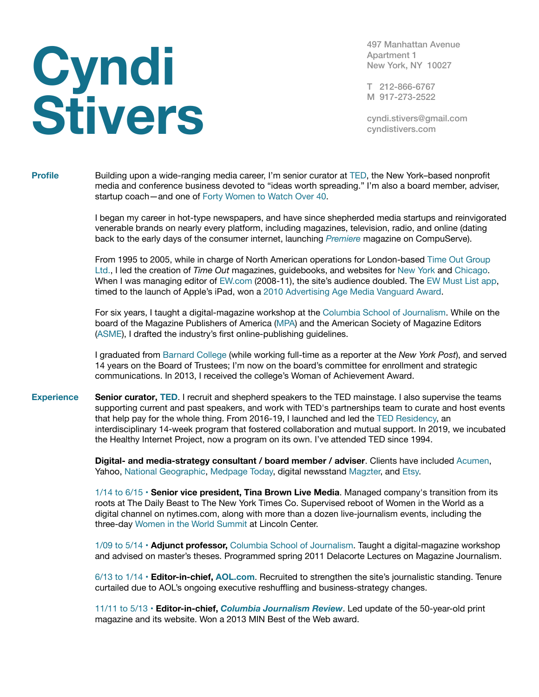## **Cyndi Stivers**

497 Manhattan Avenue Apartment 1 New York, NY 10027

T 212-866-6767 M 917-273-2522

[cyndi.stivers@gmail.com](mailto:cyndi.stivers@gmail.com) [cyndistivers.com](http://cyndistivers.com)

**Profile** Building upon a wide-ranging media career, I'm senior curator at [TED](https://www.ted.com), the New York–based nonprofit media and conference business devoted to "ideas worth spreading." I'm also a board member, adviser, startup coach—and one of [Forty Women to Watch Over 40.](http://fortyover40.com/2017-honorees/cyndi-stivers/)

> I began my career in hot-type newspapers, and have since shepherded media startups and reinvigorated venerable brands on nearly every platform, including magazines, television, radio, and online (dating back to the early days of the consumer internet, launching *[Premiere](http://www.premiere.fr)* magazine on CompuServe).

From 1995 to 2005, while in charge of North American operations for London-based [Time Out Group](http://www.timeout.com/about/)  [Ltd.](http://www.timeout.com/about/), I led the creation of *Time Out* magazines, guidebooks, and websites for [New York](https://www.timeout.com/newyork) and [Chicago.](http://timeoutchicago.com) When I was managing editor of [EW.com](http://www.ew.com) (2008-11), the site's audience doubled. The [EW Must List app](http://www.ew.com/article/2008/12/13/ew-must-list-app), timed to the launch of Apple's iPad, won a [2010 Advertising Age Media Vanguard Award](https://adage.com/article/special-report-media-vanguard-awards-2010/media-vanguard-award-entertainment-weekly-list-app/147305).

For six years, I taught a digital-magazine workshop at the [Columbia School of Journalism.](http://journalism.columbia.edu) While on the board of the Magazine Publishers of America [\(MPA](http://www.magazine.org)) and the American Society of Magazine Editors ([ASME](http://www.magazine.org/asme)), I drafted the industry's first online-publishing guidelines.

I graduated from [Barnard College](http://barnard.edu) (while working full-time as a reporter at the *New York Post*), and served 14 years on the Board of Trustees; I'm now on the board's committee for enrollment and strategic communications. In 2013, I received the college's Woman of Achievement Award.

**Experience Senior curator, [TED](http://www.ted.com/)**. I recruit and shepherd speakers to the TED mainstage. I also supervise the teams supporting current and past speakers, and work with TED's partnerships team to curate and host events that help pay for the whole thing. From 2016-19, I launched and led the [TED Residency,](http://ted.com/residency) an interdisciplinary 14-week program that fostered collaboration and mutual support. In 2019, we incubated the Healthy Internet Project, now a program on its own. I've attended TED since 1994.

> **Digital- and media-strategy consultant / board member / adviser**. Clients have included [Acumen,](http://acumen.org) Yahoo, [National Geographic](http://nationalgeographic.com), [Medpage Today](http://www.medpagetoday.com), digital newsstand [Magzter,](http://www.magzter.com) and [Etsy.](http://www.etsy.com)

1/14 to 6/15 • **Senior vice president, Tina Brown Live Media**. Managed company's transition from its roots at The Daily Beast to The New York Times Co. Supervised reboot of Women in the World as a digital channel on nytimes.com, along with more than a dozen live-journalism events, including the three-day [Women in the World Summit](https://www.youtube.com/user/womenintheworld) at Lincoln Center.

1/09 to 5/14 • **Adjunct professor,** [Columbia School of Journalism](http://journalism.columbia.edu). Taught a digital-magazine workshop and advised on master's theses. Programmed spring 2011 Delacorte Lectures on Magazine Journalism.

6/13 to 1/14 • **Editor-in-chief, [AOL.com](http://www.aol.com)**. Recruited to strengthen the site's journalistic standing. Tenure curtailed due to AOL's ongoing executive reshuffling and business-strategy changes.

11/11 to 5/13 • **Editor-in-chief,** *[Columbia Journalism Review](http://www.cjr.org)*. Led update of the 50-year-old print magazine and its website. Won a 2013 MIN Best of the Web award.